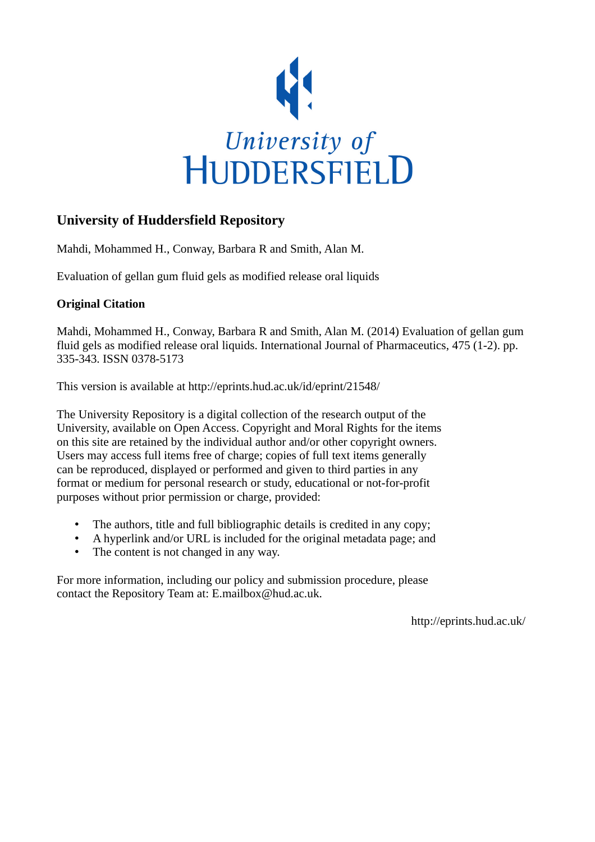

# **University of Huddersfield Repository**

Mahdi, Mohammed H., Conway, Barbara R and Smith, Alan M.

Evaluation of gellan gum fluid gels as modified release oral liquids

## **Original Citation**

Mahdi, Mohammed H., Conway, Barbara R and Smith, Alan M. (2014) Evaluation of gellan gum fluid gels as modified release oral liquids. International Journal of Pharmaceutics, 475 (1-2). pp. 335-343. ISSN 0378-5173

This version is available at http://eprints.hud.ac.uk/id/eprint/21548/

The University Repository is a digital collection of the research output of the University, available on Open Access. Copyright and Moral Rights for the items on this site are retained by the individual author and/or other copyright owners. Users may access full items free of charge; copies of full text items generally can be reproduced, displayed or performed and given to third parties in any format or medium for personal research or study, educational or not-for-profit purposes without prior permission or charge, provided:

- The authors, title and full bibliographic details is credited in any copy;
- A hyperlink and/or URL is included for the original metadata page; and
- The content is not changed in any way.

For more information, including our policy and submission procedure, please contact the Repository Team at: E.mailbox@hud.ac.uk.

http://eprints.hud.ac.uk/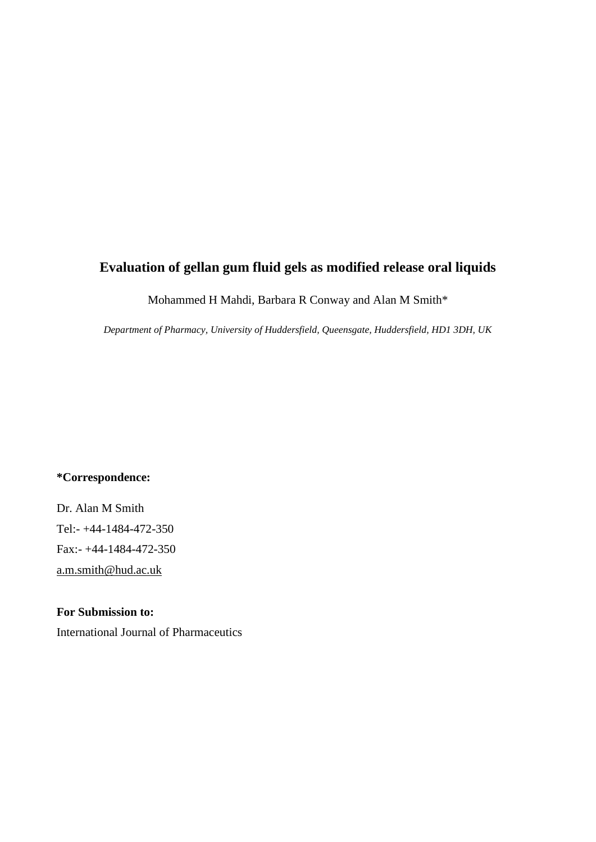## **Evaluation of gellan gum fluid gels as modified release oral liquids**

Mohammed H Mahdi, Barbara R Conway and Alan M Smith\*

*Department of Pharmacy, University of Huddersfield, Queensgate, Huddersfield, HD1 3DH, UK*

## **\*Correspondence:**

Dr. Alan M Smith Tel:- +44-1484-472-350 Fax:- +44-1484-472-350 [a.m.smith@hud.ac.uk](mailto:l.m.grover@bham.ac.uk)

**For Submission to:** International Journal of Pharmaceutics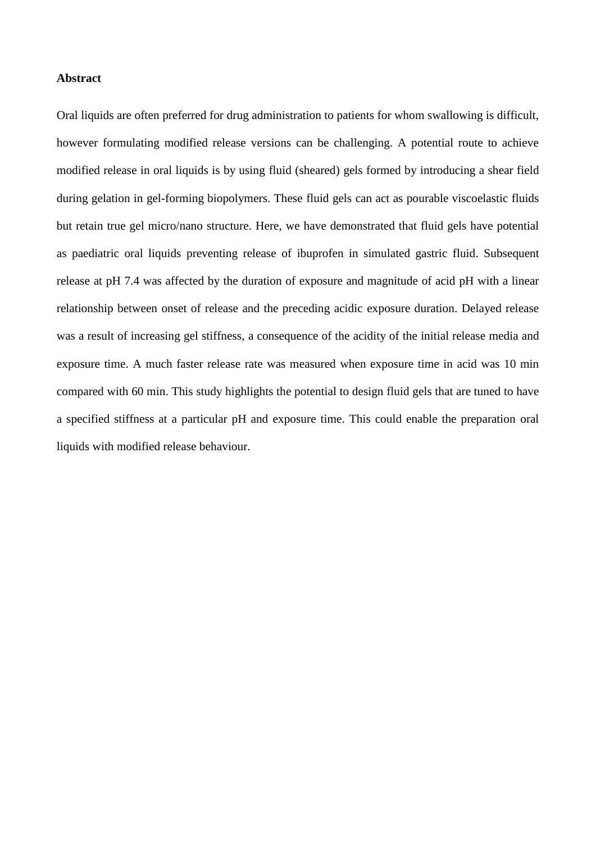#### **Abstract**

Oral liquids are often preferred for drug administration to patients for whom swallowing is difficult, however formulating modified release versions can be challenging. A potential route to achieve modified release in oral liquids is by using fluid (sheared) gels formed by introducing a shear field during gelation in gel-forming biopolymers. These fluid gels can act as pourable viscoelastic fluids but retain true gel micro/nano structure. Here, we have demonstrated that fluid gels have potential as paediatric oral liquids preventing release of ibuprofen in simulated gastric fluid. Subsequent release at pH 7.4 was affected by the duration of exposure and magnitude of acid pH with a linear relationship between onset of release and the preceding acidic exposure duration. Delayed release was a result of increasing gel stiffness, a consequence of the acidity of the initial release media and exposure time. A much faster release rate was measured when exposure time in acid was 10 min compared with 60 min. This study highlights the potential to design fluid gels that are tuned to have a specified stiffness at a particular pH and exposure time. This could enable the preparation oral liquids with modified release behaviour.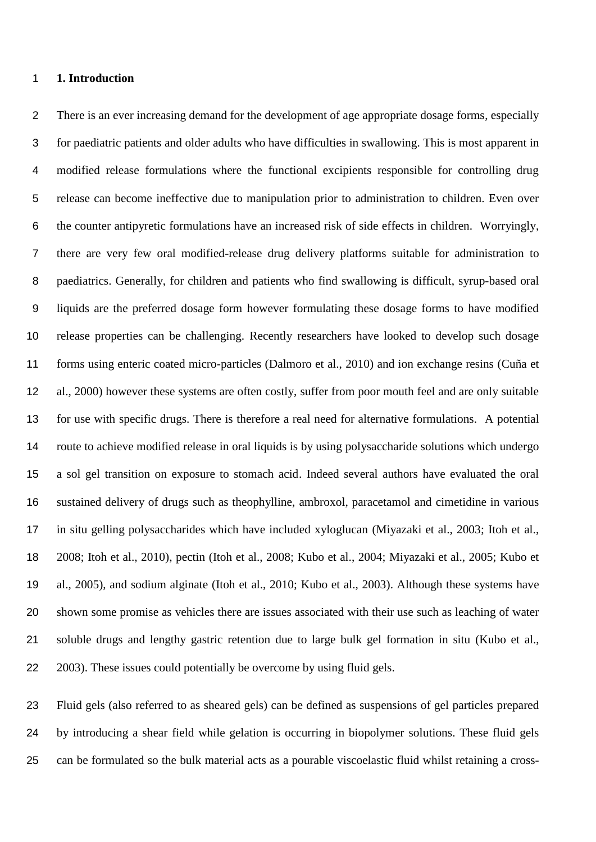#### **1. Introduction**

 There is an ever increasing demand for the development of age appropriate dosage forms, especially for paediatric patients and older adults who have difficulties in swallowing. This is most apparent in modified release formulations where the functional excipients responsible for controlling drug release can become ineffective due to manipulation prior to administration to children. Even over the counter antipyretic formulations have an increased risk of side effects in children. Worryingly, there are very few oral modified-release drug delivery platforms suitable for administration to paediatrics. Generally, for children and patients who find swallowing is difficult, syrup-based oral liquids are the preferred dosage form however formulating these dosage forms to have modified release properties can be challenging. Recently researchers have looked to develop such dosage forms using enteric coated micro-particles (Dalmoro et al., 2010) and ion exchange resins (Cuña et al., 2000) however these systems are often costly, suffer from poor mouth feel and are only suitable for use with specific drugs. There is therefore a real need for alternative formulations. A potential route to achieve modified release in oral liquids is by using polysaccharide solutions which undergo a sol gel transition on exposure to stomach acid. Indeed several authors have evaluated the oral sustained delivery of drugs such as theophylline, ambroxol, paracetamol and cimetidine in various in situ gelling polysaccharides which have included xyloglucan (Miyazaki et al., 2003; Itoh et al., 2008; Itoh et al., 2010), pectin (Itoh et al., 2008; Kubo et al., 2004; Miyazaki et al., 2005; Kubo et al., 2005), and sodium alginate (Itoh et al., 2010; Kubo et al., 2003). Although these systems have shown some promise as vehicles there are issues associated with their use such as leaching of water soluble drugs and lengthy gastric retention due to large bulk gel formation in situ (Kubo et al., 22 2003). These issues could potentially be overcome by using fluid gels.

 Fluid gels (also referred to as sheared gels) can be defined as suspensions of gel particles prepared by introducing a shear field while gelation is occurring in biopolymer solutions. These fluid gels can be formulated so the bulk material acts as a pourable viscoelastic fluid whilst retaining a cross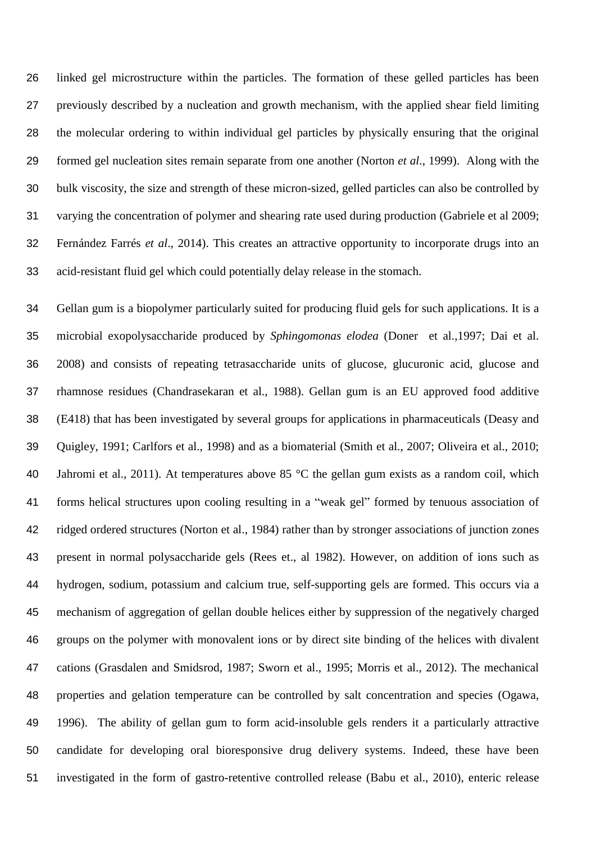linked gel microstructure within the particles. The formation of these gelled particles has been previously described by a nucleation and growth mechanism, with the applied shear field limiting the molecular ordering to within individual gel particles by physically ensuring that the original formed gel nucleation sites remain separate from one another (Norton *et al*., 1999). Along with the bulk viscosity, the size and strength of these micron-sized, gelled particles can also be controlled by varying the concentration of polymer and shearing rate used during production (Gabriele et al 2009; Fernández Farrés *et al*., 2014). This creates an attractive opportunity to incorporate drugs into an acid-resistant fluid gel which could potentially delay release in the stomach.

 Gellan gum is a biopolymer particularly suited for producing fluid gels for such applications. It is a microbial exopolysaccharide produced by *Sphingomonas elodea* (Doner et al.,1997; Dai et al. 2008) and consists of repeating tetrasaccharide units of glucose, glucuronic acid, glucose and rhamnose residues (Chandrasekaran et al., 1988). Gellan gum is an EU approved food additive (E418) that has been investigated by several groups for applications in pharmaceuticals (Deasy and Quigley, 1991; Carlfors et al., 1998) and as a biomaterial (Smith et al., 2007; Oliveira et al., 2010; 40 Jahromi et al., 2011). At temperatures above 85 °C the gellan gum exists as a random coil, which forms helical structures upon cooling resulting in a "weak gel" formed by tenuous association of ridged ordered structures (Norton et al., 1984) rather than by stronger associations of junction zones present in normal polysaccharide gels (Rees et., al 1982). However, on addition of ions such as hydrogen, sodium, potassium and calcium true, self-supporting gels are formed. This occurs via a mechanism of aggregation of gellan double helices either by suppression of the negatively charged groups on the polymer with monovalent ions or by direct site binding of the helices with divalent cations (Grasdalen and Smidsrod, 1987; Sworn et al., 1995; Morris et al., 2012). The mechanical properties and gelation temperature can be controlled by salt concentration and species (Ogawa, 1996). The ability of gellan gum to form acid-insoluble gels renders it a particularly attractive candidate for developing oral bioresponsive drug delivery systems. Indeed, these have been investigated in the form of gastro-retentive controlled release (Babu et al., 2010), enteric release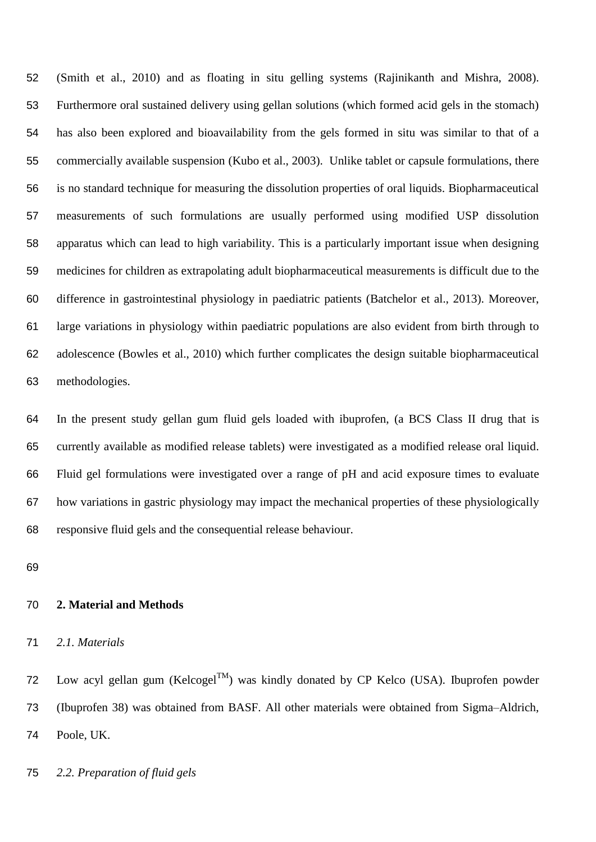(Smith et al., 2010) and as floating in situ gelling systems (Rajinikanth and Mishra, 2008). Furthermore oral sustained delivery using gellan solutions (which formed acid gels in the stomach) has also been explored and bioavailability from the gels formed in situ was similar to that of a commercially available suspension (Kubo et al., 2003). Unlike tablet or capsule formulations, there is no standard technique for measuring the dissolution properties of oral liquids. Biopharmaceutical measurements of such formulations are usually performed using modified USP dissolution apparatus which can lead to high variability. This is a particularly important issue when designing medicines for children as extrapolating adult biopharmaceutical measurements is difficult due to the difference in gastrointestinal physiology in paediatric patients (Batchelor et al., 2013). Moreover, large variations in physiology within paediatric populations are also evident from birth through to adolescence (Bowles et al., 2010) which further complicates the design suitable biopharmaceutical methodologies.

 In the present study gellan gum fluid gels loaded with ibuprofen, (a BCS Class II drug that is currently available as modified release tablets) were investigated as a modified release oral liquid. Fluid gel formulations were investigated over a range of pH and acid exposure times to evaluate how variations in gastric physiology may impact the mechanical properties of these physiologically responsive fluid gels and the consequential release behaviour.

#### **2. Material and Methods**

*2.1. Materials*

72 Low acyl gellan gum (Kelcogel<sup>TM</sup>) was kindly donated by CP Kelco (USA). Ibuprofen powder (Ibuprofen 38) was obtained from BASF. All other materials were obtained from Sigma–Aldrich, Poole, UK.

*2.2. Preparation of fluid gels*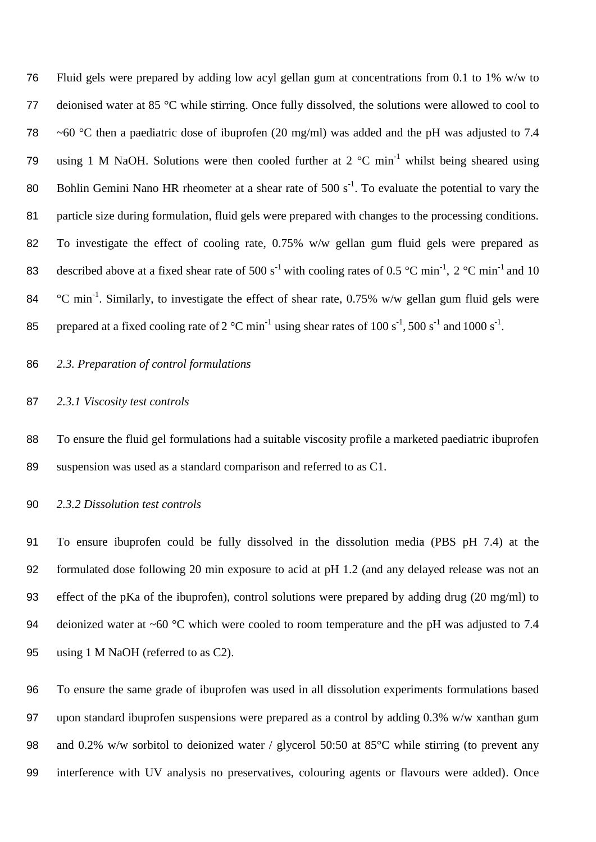Fluid gels were prepared by adding low acyl gellan gum at concentrations from 0.1 to 1% w/w to deionised water at 85 °C while stirring. Once fully dissolved, the solutions were allowed to cool to 78  $\sim$  60 °C then a paediatric dose of ibuprofen (20 mg/ml) was added and the pH was adjusted to 7.4 79 using 1 M NaOH. Solutions were then cooled further at 2  $\rm{°C min}^{-1}$  whilst being sheared using 80 Bohlin Gemini Nano HR rheometer at a shear rate of 500  $s^{-1}$ . To evaluate the potential to vary the particle size during formulation, fluid gels were prepared with changes to the processing conditions. To investigate the effect of cooling rate, 0.75% w/w gellan gum fluid gels were prepared as 83 described above at a fixed shear rate of 500 s<sup>-1</sup> with cooling rates of 0.5 °C min<sup>-1</sup>, 2 °C min<sup>-1</sup> and 10 84  $\degree$ C min<sup>-1</sup>. Similarly, to investigate the effect of shear rate, 0.75% w/w gellan gum fluid gels were 85 prepared at a fixed cooling rate of 2  $^{\circ}$ C min<sup>-1</sup> using shear rates of 100 s<sup>-1</sup>, 500 s<sup>-1</sup> and 1000 s<sup>-1</sup>.

## *2.3. Preparation of control formulations*

## *2.3.1 Viscosity test controls*

 To ensure the fluid gel formulations had a suitable viscosity profile a marketed paediatric ibuprofen suspension was used as a standard comparison and referred to as C1.

#### *2.3.2 Dissolution test controls*

 To ensure ibuprofen could be fully dissolved in the dissolution media (PBS pH 7.4) at the formulated dose following 20 min exposure to acid at pH 1.2 (and any delayed release was not an effect of the pKa of the ibuprofen), control solutions were prepared by adding drug (20 mg/ml) to 94 deionized water at ~60 °C which were cooled to room temperature and the pH was adjusted to 7.4 95 using 1 M NaOH (referred to as C2).

 To ensure the same grade of ibuprofen was used in all dissolution experiments formulations based upon standard ibuprofen suspensions were prepared as a control by adding 0.3% w/w xanthan gum 98 and 0.2% w/w sorbitol to deionized water / glycerol 50:50 at 85<sup>o</sup>C while stirring (to prevent any interference with UV analysis no preservatives, colouring agents or flavours were added). Once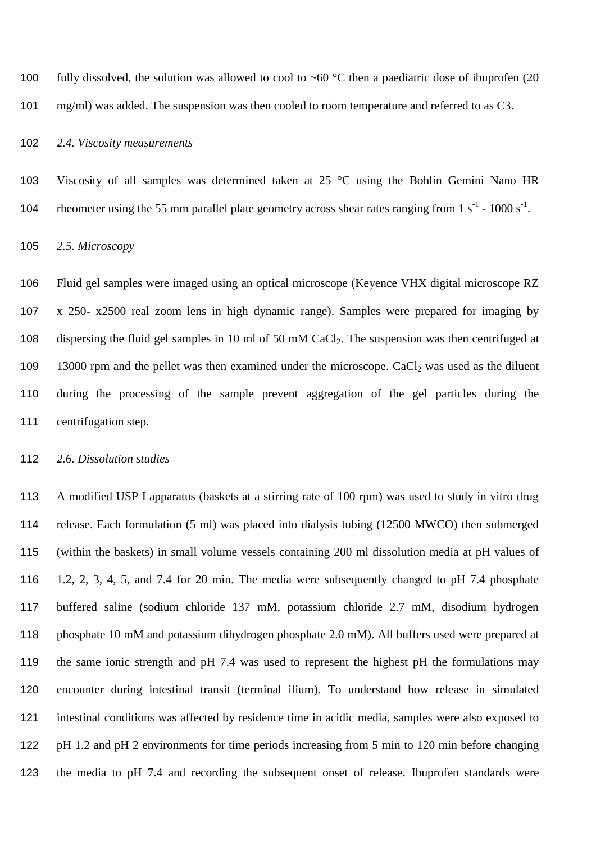100 fully dissolved, the solution was allowed to cool to ~60  $\degree$ C then a paediatric dose of ibuprofen (20 mg/ml) was added. The suspension was then cooled to room temperature and referred to as C3.

#### *2.4. Viscosity measurements*

 Viscosity of all samples was determined taken at 25 °C using the Bohlin Gemini Nano HR 104 rheometer using the 55 mm parallel plate geometry across shear rates ranging from  $1 \text{ s}^{-1}$  - 1000 s<sup>-1</sup>.

## *2.5. Microscopy*

 Fluid gel samples were imaged using an optical microscope (Keyence VHX digital microscope RZ x 250- x2500 real zoom lens in high dynamic range). Samples were prepared for imaging by 108 dispersing the fluid gel samples in 10 ml of 50 mM CaCl<sub>2</sub>. The suspension was then centrifuged at 109 13000 rpm and the pellet was then examined under the microscope.  $CaCl<sub>2</sub>$  was used as the diluent during the processing of the sample prevent aggregation of the gel particles during the centrifugation step.

## *2.6. Dissolution studies*

 A modified USP I apparatus (baskets at a stirring rate of 100 rpm) was used to study in vitro drug release. Each formulation (5 ml) was placed into dialysis tubing (12500 MWCO) then submerged (within the baskets) in small volume vessels containing 200 ml dissolution media at pH values of 1.2, 2, 3, 4, 5, and 7.4 for 20 min. The media were subsequently changed to pH 7.4 phosphate buffered saline (sodium chloride 137 mM, potassium chloride 2.7 mM, disodium hydrogen phosphate 10 mM and potassium dihydrogen phosphate 2.0 mM). All buffers used were prepared at the same ionic strength and pH 7.4 was used to represent the highest pH the formulations may encounter during intestinal transit (terminal ilium). To understand how release in simulated intestinal conditions was affected by residence time in acidic media, samples were also exposed to pH 1.2 and pH 2 environments for time periods increasing from 5 min to 120 min before changing the media to pH 7.4 and recording the subsequent onset of release. Ibuprofen standards were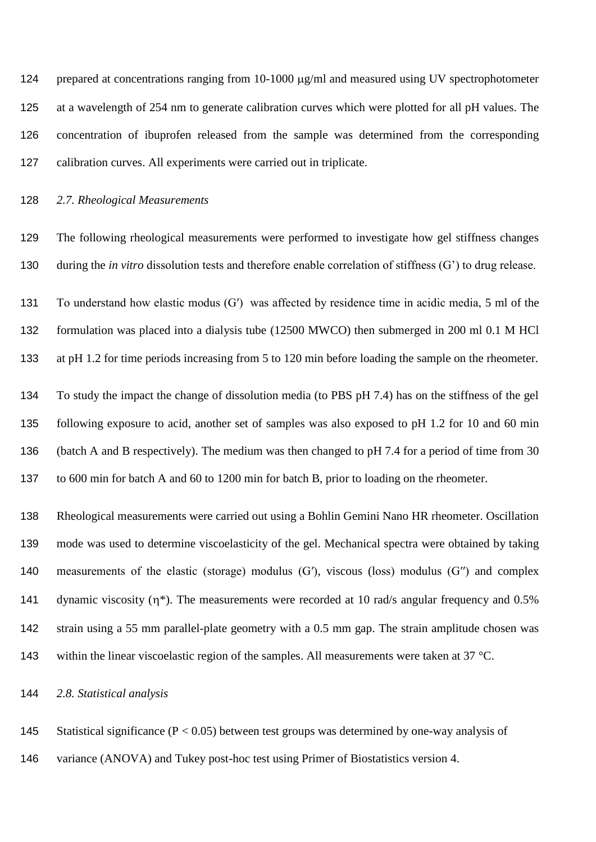124 prepared at concentrations ranging from  $10-1000 \mu g/ml$  and measured using UV spectrophotometer at a wavelength of 254 nm to generate calibration curves which were plotted for all pH values. The concentration of ibuprofen released from the sample was determined from the corresponding calibration curves. All experiments were carried out in triplicate.

#### *2.7. Rheological Measurements*

 The following rheological measurements were performed to investigate how gel stiffness changes during the *in vitro* dissolution tests and therefore enable correlation of stiffness (G") to drug release.

131 To understand how elastic modus (G') was affected by residence time in acidic media, 5 ml of the formulation was placed into a dialysis tube (12500 MWCO) then submerged in 200 ml 0.1 M HCl at pH 1.2 for time periods increasing from 5 to 120 min before loading the sample on the rheometer.

 To study the impact the change of dissolution media (to PBS pH 7.4) has on the stiffness of the gel following exposure to acid, another set of samples was also exposed to pH 1.2 for 10 and 60 min (batch A and B respectively). The medium was then changed to pH 7.4 for a period of time from 30 to 600 min for batch A and 60 to 1200 min for batch B, prior to loading on the rheometer.

 Rheological measurements were carried out using a Bohlin Gemini Nano HR rheometer. Oscillation mode was used to determine viscoelasticity of the gel. Mechanical spectra were obtained by taking measurements of the elastic (storage) modulus (G′), viscous (loss) modulus (G′′) and complex 141 dynamic viscosity  $(\eta^*)$ . The measurements were recorded at 10 rad/s angular frequency and 0.5% strain using a 55 mm parallel-plate geometry with a 0.5 mm gap. The strain amplitude chosen was 143 within the linear viscoelastic region of the samples. All measurements were taken at 37 °C.

*2.8. Statistical analysis*

145 Statistical significance ( $P < 0.05$ ) between test groups was determined by one-way analysis of

variance (ANOVA) and Tukey post-hoc test using Primer of Biostatistics version 4.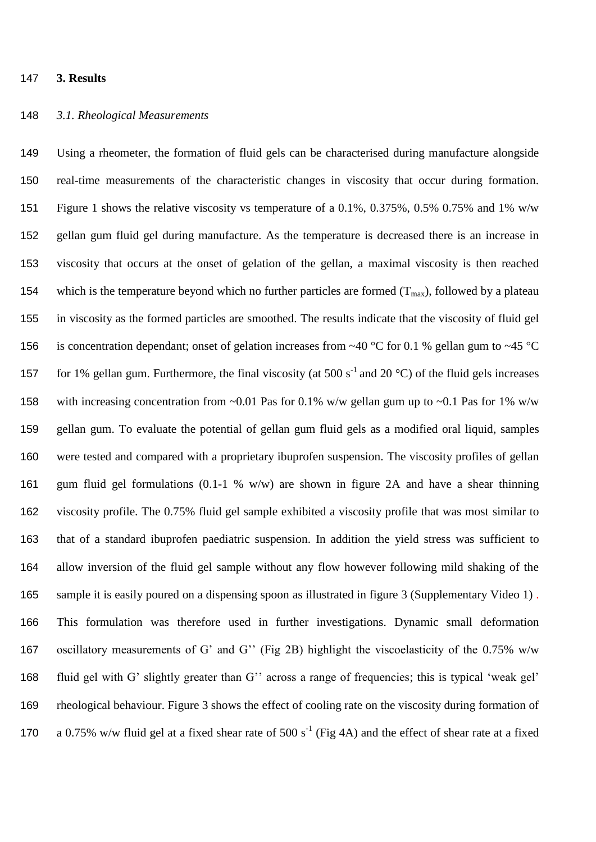#### **3. Results**

## *3.1. Rheological Measurements*

 Using a rheometer, the formation of fluid gels can be characterised during manufacture alongside real-time measurements of the characteristic changes in viscosity that occur during formation. Figure 1 shows the relative viscosity vs temperature of a 0.1%, 0.375%, 0.5% 0.75% and 1% w/w gellan gum fluid gel during manufacture. As the temperature is decreased there is an increase in viscosity that occurs at the onset of gelation of the gellan, a maximal viscosity is then reached 154 which is the temperature beyond which no further particles are formed  $(T_{\text{max}})$ , followed by a plateau in viscosity as the formed particles are smoothed. The results indicate that the viscosity of fluid gel 156 is concentration dependant; onset of gelation increases from ~40 °C for 0.1 % gellan gum to ~45 °C 157 for 1% gellan gum. Furthermore, the final viscosity (at 500 s<sup>-1</sup> and 20 °C) of the fluid gels increases with increasing concentration from ~0.01 Pas for 0.1% w/w gellan gum up to ~0.1 Pas for 1% w/w gellan gum. To evaluate the potential of gellan gum fluid gels as a modified oral liquid, samples were tested and compared with a proprietary ibuprofen suspension. The viscosity profiles of gellan gum fluid gel formulations (0.1-1 % w/w) are shown in figure 2A and have a shear thinning viscosity profile. The 0.75% fluid gel sample exhibited a viscosity profile that was most similar to that of a standard ibuprofen paediatric suspension. In addition the yield stress was sufficient to allow inversion of the fluid gel sample without any flow however following mild shaking of the sample it is easily poured on a dispensing spoon as illustrated in figure 3 (Supplementary Video 1) . This formulation was therefore used in further investigations. Dynamic small deformation oscillatory measurements of G" and G"" (Fig 2B) highlight the viscoelasticity of the 0.75% w/w fluid gel with G" slightly greater than G"" across a range of frequencies; this is typical "weak gel" rheological behaviour. Figure 3 shows the effect of cooling rate on the viscosity during formation of 170 a 0.75% w/w fluid gel at a fixed shear rate of 500 s<sup>-1</sup> (Fig 4A) and the effect of shear rate at a fixed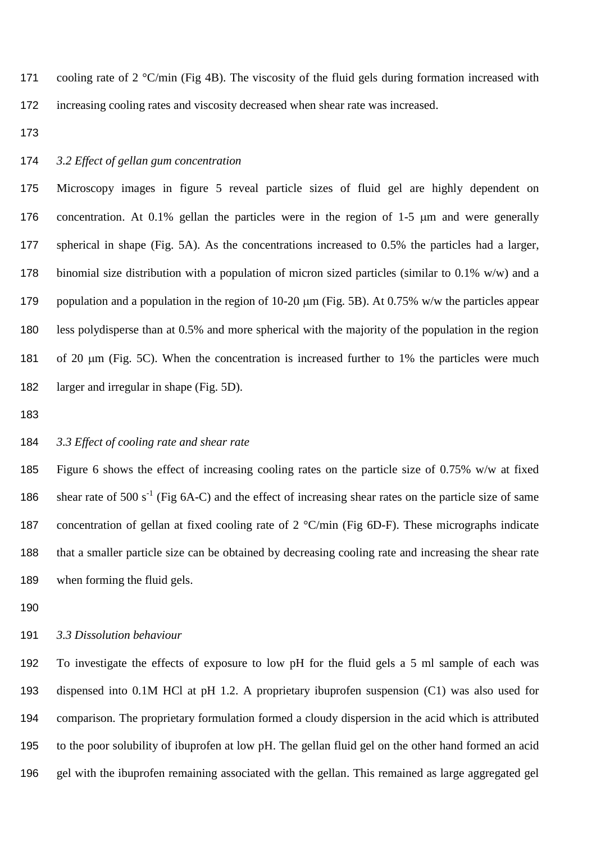171 cooling rate of 2 °C/min (Fig 4B). The viscosity of the fluid gels during formation increased with increasing cooling rates and viscosity decreased when shear rate was increased.

## *3.2 Effect of gellan gum concentration*

 Microscopy images in figure 5 reveal particle sizes of fluid gel are highly dependent on 176 concentration. At 0.1% gellan the particles were in the region of 1-5 um and were generally spherical in shape (Fig. 5A). As the concentrations increased to 0.5% the particles had a larger, binomial size distribution with a population of micron sized particles (similar to 0.1% w/w) and a 179 population and a population in the region of 10-20  $\mu$ m (Fig. 5B). At 0.75% w/w the particles appear less polydisperse than at 0.5% and more spherical with the majority of the population in the region 181 of 20 um (Fig. 5C). When the concentration is increased further to 1% the particles were much larger and irregular in shape (Fig. 5D).

#### *3.3 Effect of cooling rate and shear rate*

 Figure 6 shows the effect of increasing cooling rates on the particle size of 0.75% w/w at fixed 186 shear rate of 500 s<sup>-1</sup> (Fig 6A-C) and the effect of increasing shear rates on the particle size of same concentration of gellan at fixed cooling rate of 2 °C/min (Fig 6D-F). These micrographs indicate that a smaller particle size can be obtained by decreasing cooling rate and increasing the shear rate when forming the fluid gels.

## *3.3 Dissolution behaviour*

 To investigate the effects of exposure to low pH for the fluid gels a 5 ml sample of each was dispensed into 0.1M HCl at pH 1.2. A proprietary ibuprofen suspension (C1) was also used for comparison. The proprietary formulation formed a cloudy dispersion in the acid which is attributed to the poor solubility of ibuprofen at low pH. The gellan fluid gel on the other hand formed an acid gel with the ibuprofen remaining associated with the gellan. This remained as large aggregated gel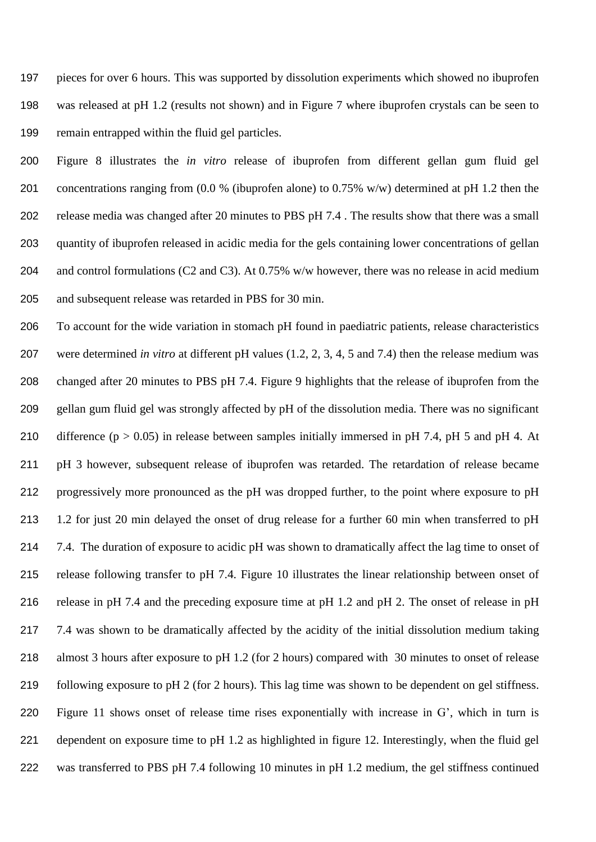pieces for over 6 hours. This was supported by dissolution experiments which showed no ibuprofen was released at pH 1.2 (results not shown) and in Figure 7 where ibuprofen crystals can be seen to remain entrapped within the fluid gel particles.

 Figure 8 illustrates the *in vitro* release of ibuprofen from different gellan gum fluid gel concentrations ranging from (0.0 % (ibuprofen alone) to 0.75% w/w) determined at pH 1.2 then the release media was changed after 20 minutes to PBS pH 7.4 . The results show that there was a small quantity of ibuprofen released in acidic media for the gels containing lower concentrations of gellan and control formulations (C2 and C3). At 0.75% w/w however, there was no release in acid medium and subsequent release was retarded in PBS for 30 min.

 To account for the wide variation in stomach pH found in paediatric patients, release characteristics were determined *in vitro* at different pH values (1.2, 2, 3, 4, 5 and 7.4) then the release medium was changed after 20 minutes to PBS pH 7.4. Figure 9 highlights that the release of ibuprofen from the gellan gum fluid gel was strongly affected by pH of the dissolution media. There was no significant 210 difference ( $p > 0.05$ ) in release between samples initially immersed in pH 7.4, pH 5 and pH 4. At pH 3 however, subsequent release of ibuprofen was retarded. The retardation of release became progressively more pronounced as the pH was dropped further, to the point where exposure to pH 1.2 for just 20 min delayed the onset of drug release for a further 60 min when transferred to pH 7.4. The duration of exposure to acidic pH was shown to dramatically affect the lag time to onset of release following transfer to pH 7.4. Figure 10 illustrates the linear relationship between onset of release in pH 7.4 and the preceding exposure time at pH 1.2 and pH 2. The onset of release in pH 7.4 was shown to be dramatically affected by the acidity of the initial dissolution medium taking almost 3 hours after exposure to pH 1.2 (for 2 hours) compared with 30 minutes to onset of release following exposure to pH 2 (for 2 hours). This lag time was shown to be dependent on gel stiffness. Figure 11 shows onset of release time rises exponentially with increase in G", which in turn is dependent on exposure time to pH 1.2 as highlighted in figure 12. Interestingly, when the fluid gel was transferred to PBS pH 7.4 following 10 minutes in pH 1.2 medium, the gel stiffness continued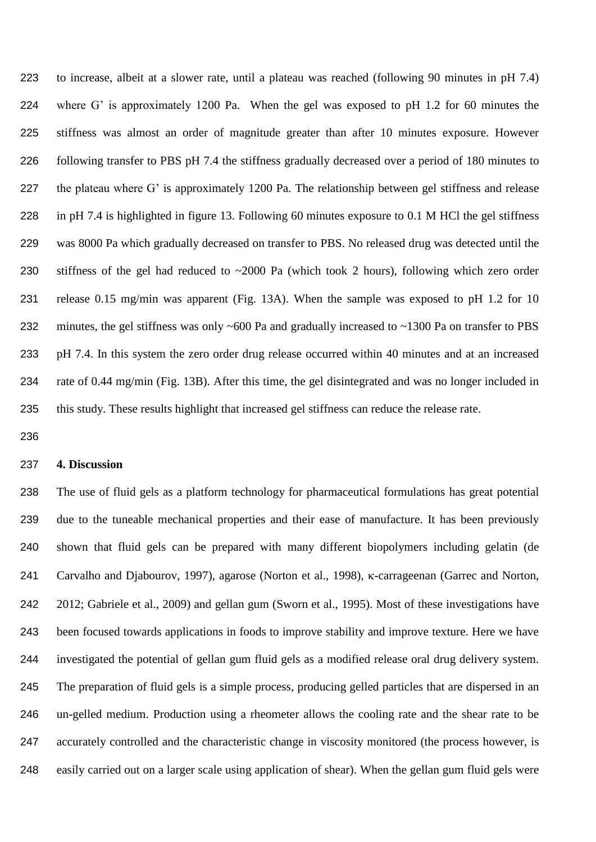to increase, albeit at a slower rate, until a plateau was reached (following 90 minutes in pH 7.4) where G" is approximately 1200 Pa. When the gel was exposed to pH 1.2 for 60 minutes the stiffness was almost an order of magnitude greater than after 10 minutes exposure. However following transfer to PBS pH 7.4 the stiffness gradually decreased over a period of 180 minutes to the plateau where G" is approximately 1200 Pa. The relationship between gel stiffness and release in pH 7.4 is highlighted in figure 13. Following 60 minutes exposure to 0.1 M HCl the gel stiffness was 8000 Pa which gradually decreased on transfer to PBS. No released drug was detected until the stiffness of the gel had reduced to ~2000 Pa (which took 2 hours), following which zero order release 0.15 mg/min was apparent (Fig. 13A). When the sample was exposed to pH 1.2 for 10 232 minutes, the gel stiffness was only ~600 Pa and gradually increased to ~1300 Pa on transfer to PBS pH 7.4. In this system the zero order drug release occurred within 40 minutes and at an increased rate of 0.44 mg/min (Fig. 13B). After this time, the gel disintegrated and was no longer included in this study. These results highlight that increased gel stiffness can reduce the release rate.

### **4. Discussion**

 The use of fluid gels as a platform technology for pharmaceutical formulations has great potential due to the tuneable mechanical properties and their ease of manufacture. It has been previously shown that fluid gels can be prepared with many different biopolymers including gelatin (de 241 Carvalho and Diabourov, 1997), agarose (Norton et al., 1998),  $\kappa$ -carrageenan (Garrec and Norton, 2012; Gabriele et al., 2009) and gellan gum (Sworn et al., 1995). Most of these investigations have been focused towards applications in foods to improve stability and improve texture. Here we have investigated the potential of gellan gum fluid gels as a modified release oral drug delivery system. The preparation of fluid gels is a simple process, producing gelled particles that are dispersed in an un-gelled medium. Production using a rheometer allows the cooling rate and the shear rate to be accurately controlled and the characteristic change in viscosity monitored (the process however, is easily carried out on a larger scale using application of shear). When the gellan gum fluid gels were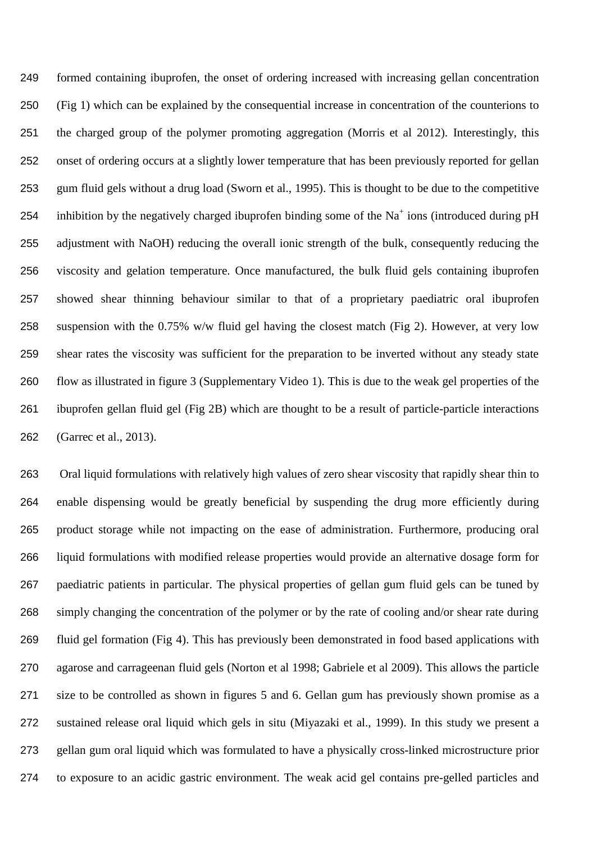formed containing ibuprofen, the onset of ordering increased with increasing gellan concentration (Fig 1) which can be explained by the consequential increase in concentration of the counterions to the charged group of the polymer promoting aggregation (Morris et al 2012). Interestingly, this onset of ordering occurs at a slightly lower temperature that has been previously reported for gellan gum fluid gels without a drug load (Sworn et al., 1995). This is thought to be due to the competitive 254 inhibition by the negatively charged ibuprofen binding some of the  $Na<sup>+</sup>$  ions (introduced during pH adjustment with NaOH) reducing the overall ionic strength of the bulk, consequently reducing the viscosity and gelation temperature. Once manufactured, the bulk fluid gels containing ibuprofen showed shear thinning behaviour similar to that of a proprietary paediatric oral ibuprofen suspension with the 0.75% w/w fluid gel having the closest match (Fig 2). However, at very low shear rates the viscosity was sufficient for the preparation to be inverted without any steady state flow as illustrated in figure 3 (Supplementary Video 1). This is due to the weak gel properties of the ibuprofen gellan fluid gel (Fig 2B) which are thought to be a result of particle-particle interactions (Garrec et al., 2013).

 Oral liquid formulations with relatively high values of zero shear viscosity that rapidly shear thin to enable dispensing would be greatly beneficial by suspending the drug more efficiently during product storage while not impacting on the ease of administration. Furthermore, producing oral liquid formulations with modified release properties would provide an alternative dosage form for paediatric patients in particular. The physical properties of gellan gum fluid gels can be tuned by simply changing the concentration of the polymer or by the rate of cooling and/or shear rate during fluid gel formation (Fig 4). This has previously been demonstrated in food based applications with agarose and carrageenan fluid gels (Norton et al 1998; Gabriele et al 2009). This allows the particle size to be controlled as shown in figures 5 and 6. Gellan gum has previously shown promise as a sustained release oral liquid which gels in situ (Miyazaki et al., 1999). In this study we present a gellan gum oral liquid which was formulated to have a physically cross-linked microstructure prior to exposure to an acidic gastric environment. The weak acid gel contains pre-gelled particles and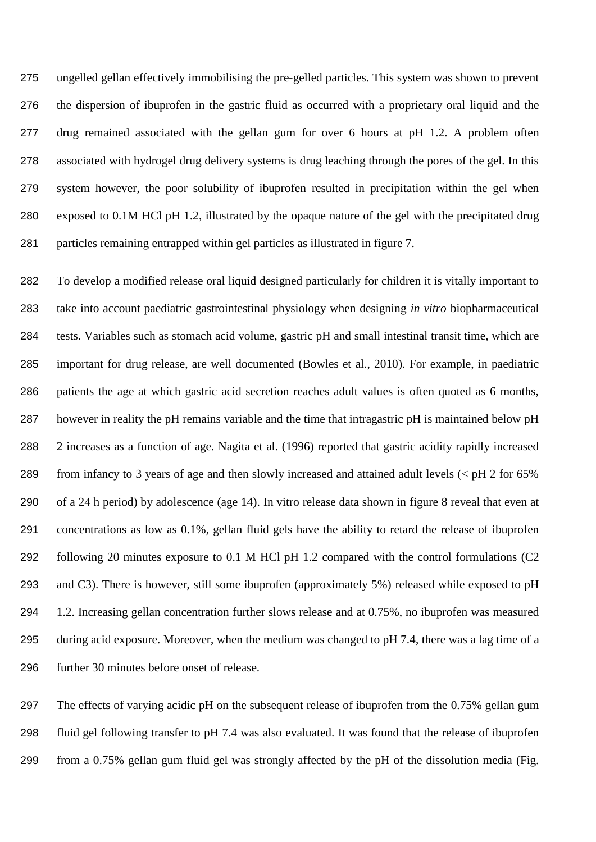ungelled gellan effectively immobilising the pre-gelled particles. This system was shown to prevent the dispersion of ibuprofen in the gastric fluid as occurred with a proprietary oral liquid and the drug remained associated with the gellan gum for over 6 hours at pH 1.2. A problem often associated with hydrogel drug delivery systems is drug leaching through the pores of the gel. In this system however, the poor solubility of ibuprofen resulted in precipitation within the gel when exposed to 0.1M HCl pH 1.2, illustrated by the opaque nature of the gel with the precipitated drug particles remaining entrapped within gel particles as illustrated in figure 7.

 To develop a modified release oral liquid designed particularly for children it is vitally important to take into account paediatric gastrointestinal physiology when designing *in vitro* biopharmaceutical tests. Variables such as stomach acid volume, gastric pH and small intestinal transit time, which are important for drug release, are well documented (Bowles et al., 2010). For example, in paediatric patients the age at which gastric acid secretion reaches adult values is often quoted as 6 months, however in reality the pH remains variable and the time that intragastric pH is maintained below pH 2 increases as a function of age. Nagita et al. (1996) reported that gastric acidity rapidly increased from infancy to 3 years of age and then slowly increased and attained adult levels (< pH 2 for 65% of a 24 h period) by adolescence (age 14). In vitro release data shown in figure 8 reveal that even at concentrations as low as 0.1%, gellan fluid gels have the ability to retard the release of ibuprofen following 20 minutes exposure to 0.1 M HCl pH 1.2 compared with the control formulations (C2 and C3). There is however, still some ibuprofen (approximately 5%) released while exposed to pH 1.2. Increasing gellan concentration further slows release and at 0.75%, no ibuprofen was measured during acid exposure. Moreover, when the medium was changed to pH 7.4, there was a lag time of a further 30 minutes before onset of release.

 The effects of varying acidic pH on the subsequent release of ibuprofen from the 0.75% gellan gum fluid gel following transfer to pH 7.4 was also evaluated. It was found that the release of ibuprofen from a 0.75% gellan gum fluid gel was strongly affected by the pH of the dissolution media (Fig.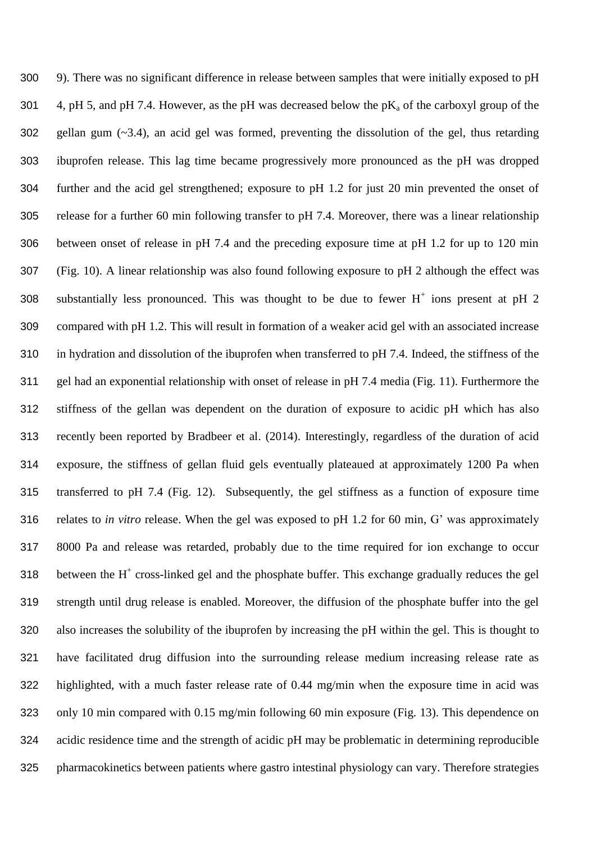9). There was no significant difference in release between samples that were initially exposed to pH 301 4, pH 5, and pH 7.4. However, as the pH was decreased below the  $pK_a$  of the carboxyl group of the gellan gum (~3.4), an acid gel was formed, preventing the dissolution of the gel, thus retarding ibuprofen release. This lag time became progressively more pronounced as the pH was dropped further and the acid gel strengthened; exposure to pH 1.2 for just 20 min prevented the onset of release for a further 60 min following transfer to pH 7.4. Moreover, there was a linear relationship between onset of release in pH 7.4 and the preceding exposure time at pH 1.2 for up to 120 min (Fig. 10). A linear relationship was also found following exposure to pH 2 although the effect was 308 substantially less pronounced. This was thought to be due to fewer  $H^+$  ions present at pH 2 compared with pH 1.2. This will result in formation of a weaker acid gel with an associated increase in hydration and dissolution of the ibuprofen when transferred to pH 7.4. Indeed, the stiffness of the gel had an exponential relationship with onset of release in pH 7.4 media (Fig. 11). Furthermore the stiffness of the gellan was dependent on the duration of exposure to acidic pH which has also recently been reported by Bradbeer et al. (2014). Interestingly, regardless of the duration of acid exposure, the stiffness of gellan fluid gels eventually plateaued at approximately 1200 Pa when transferred to pH 7.4 (Fig. 12). Subsequently, the gel stiffness as a function of exposure time relates to *in vitro* release. When the gel was exposed to pH 1.2 for 60 min, G" was approximately 8000 Pa and release was retarded, probably due to the time required for ion exchange to occur 318 between the  $H^+$  cross-linked gel and the phosphate buffer. This exchange gradually reduces the gel strength until drug release is enabled. Moreover, the diffusion of the phosphate buffer into the gel also increases the solubility of the ibuprofen by increasing the pH within the gel. This is thought to have facilitated drug diffusion into the surrounding release medium increasing release rate as highlighted, with a much faster release rate of 0.44 mg/min when the exposure time in acid was only 10 min compared with 0.15 mg/min following 60 min exposure (Fig. 13). This dependence on acidic residence time and the strength of acidic pH may be problematic in determining reproducible pharmacokinetics between patients where gastro intestinal physiology can vary. Therefore strategies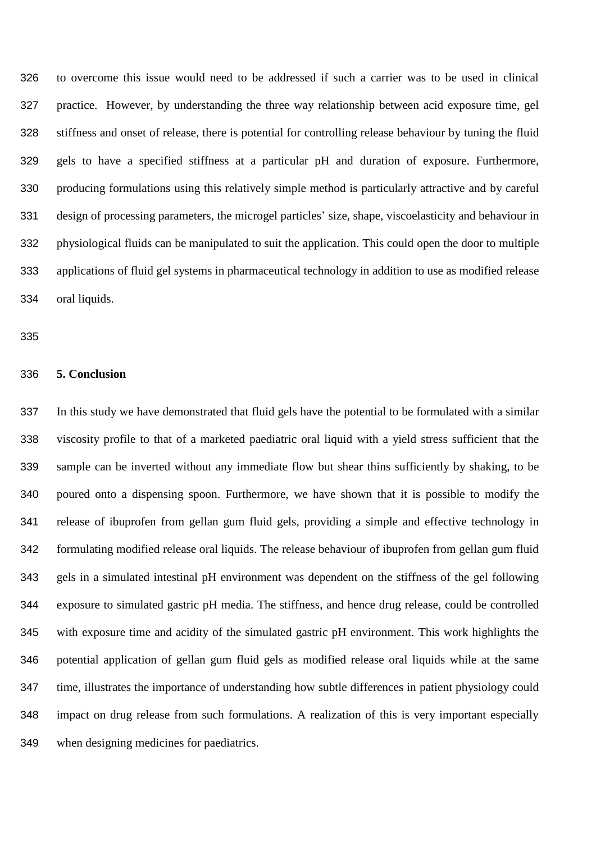to overcome this issue would need to be addressed if such a carrier was to be used in clinical practice. However, by understanding the three way relationship between acid exposure time, gel stiffness and onset of release, there is potential for controlling release behaviour by tuning the fluid gels to have a specified stiffness at a particular pH and duration of exposure. Furthermore, producing formulations using this relatively simple method is particularly attractive and by careful design of processing parameters, the microgel particles" size, shape, viscoelasticity and behaviour in physiological fluids can be manipulated to suit the application. This could open the door to multiple applications of fluid gel systems in pharmaceutical technology in addition to use as modified release oral liquids.

#### **5. Conclusion**

 In this study we have demonstrated that fluid gels have the potential to be formulated with a similar viscosity profile to that of a marketed paediatric oral liquid with a yield stress sufficient that the sample can be inverted without any immediate flow but shear thins sufficiently by shaking, to be poured onto a dispensing spoon. Furthermore, we have shown that it is possible to modify the release of ibuprofen from gellan gum fluid gels, providing a simple and effective technology in formulating modified release oral liquids. The release behaviour of ibuprofen from gellan gum fluid gels in a simulated intestinal pH environment was dependent on the stiffness of the gel following exposure to simulated gastric pH media. The stiffness, and hence drug release, could be controlled with exposure time and acidity of the simulated gastric pH environment. This work highlights the potential application of gellan gum fluid gels as modified release oral liquids while at the same time, illustrates the importance of understanding how subtle differences in patient physiology could impact on drug release from such formulations. A realization of this is very important especially when designing medicines for paediatrics.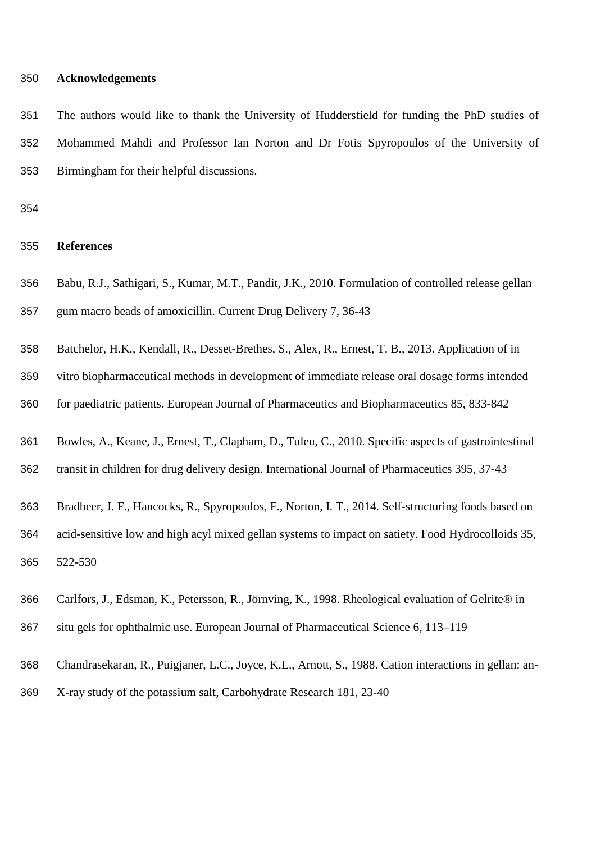#### **Acknowledgements**

 The authors would like to thank the University of Huddersfield for funding the PhD studies of Mohammed Mahdi and Professor Ian Norton and Dr Fotis Spyropoulos of the University of Birmingham for their helpful discussions.

## **References**

- Babu, R.J., Sathigari, S., Kumar, M.T., Pandit, J.K., 2010. Formulation of controlled release gellan gum macro beads of amoxicillin. Current Drug Delivery 7, 36-43
- Batchelor, H.K., Kendall, R., Desset-Brethes, S., Alex, R., Ernest, T. B., 2013. Application of in
- vitro biopharmaceutical methods in development of immediate release oral dosage forms intended
- for paediatric patients. European Journal of Pharmaceutics and Biopharmaceutics 85, 833-842
- Bowles, A., Keane, J., Ernest, T., Clapham, D., Tuleu, C., 2010. Specific aspects of gastrointestinal
- transit in children for drug delivery design. International Journal of Pharmaceutics 395, 37-43
- Bradbeer, J. F., Hancocks, R., Spyropoulos, F., Norton, I. T., 2014. Self-structuring foods based on acid-sensitive low and high acyl mixed gellan systems to impact on satiety. Food Hydrocolloids 35, 522-530
- Carlfors, J., Edsman, K., Petersson, R., Jörnving, K., 1998. Rheological evaluation of Gelrite® in
- situ gels for ophthalmic use. European Journal of Pharmaceutical Science 6, 113–119
- Chandrasekaran, R., Puigjaner, L.C., Joyce, K.L., Arnott, S., 1988. Cation interactions in gellan: an-
- X-ray study of the potassium salt, Carbohydrate Research 181, 23-40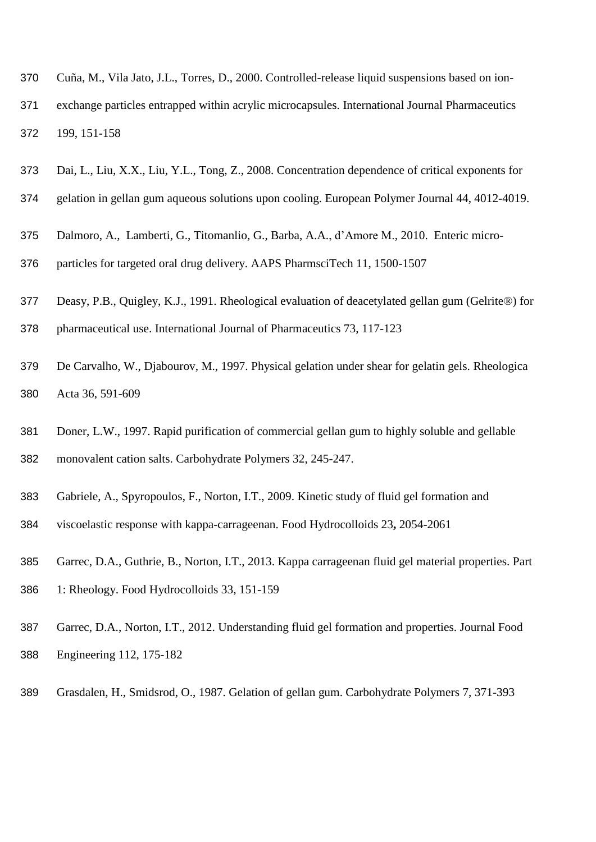- Cuña, M., Vila Jato, J.L., Torres, D., 2000. Controlled-release liquid suspensions based on ion- exchange particles entrapped within acrylic microcapsules. International Journal Pharmaceutics 199, 151-158
- Dai, L., Liu, X.X., Liu, Y.L., Tong, Z., 2008. Concentration dependence of critical exponents for
- gelation in gellan gum aqueous solutions upon cooling. European Polymer Journal 44, 4012-4019.
- Dalmoro, A., Lamberti, G., Titomanlio, G., Barba, A.A., d"Amore M., 2010. Enteric micro-
- particles for targeted oral drug delivery. AAPS PharmsciTech 11, 1500-1507
- Deasy, P.B., Quigley, K.J., 1991. Rheological evaluation of deacetylated gellan gum (Gelrite®) for
- pharmaceutical use. International Journal of Pharmaceutics 73, 117-123
- De Carvalho, W., Djabourov, M., 1997. Physical gelation under shear for gelatin gels. [Rheologica](http://link.springer.com/journal/397)  [Acta](http://link.springer.com/journal/397) 36, 591-609
- Doner, L.W., 1997. Rapid purification of commercial gellan gum to highly soluble and gellable
- monovalent cation salts. Carbohydrate Polymers 32, 245-247.
- Gabriele, A., Spyropoulos, F., Norton, I.T., 2009. Kinetic study of fluid gel formation and
- viscoelastic response with kappa-carrageenan. Food Hydrocolloids 23**,** 2054-2061
- Garrec, D.A., Guthrie, B., Norton, I.T., 2013. Kappa carrageenan fluid gel material properties. Part
- 1: Rheology. Food Hydrocolloids 33, 151-159
- Garrec, D.A., Norton, I.T., 2012. Understanding fluid gel formation and properties. Journal Food Engineering 112, 175-182
- Grasdalen, H., Smidsrod, O., 1987. Gelation of gellan gum. Carbohydrate Polymers 7, 371-393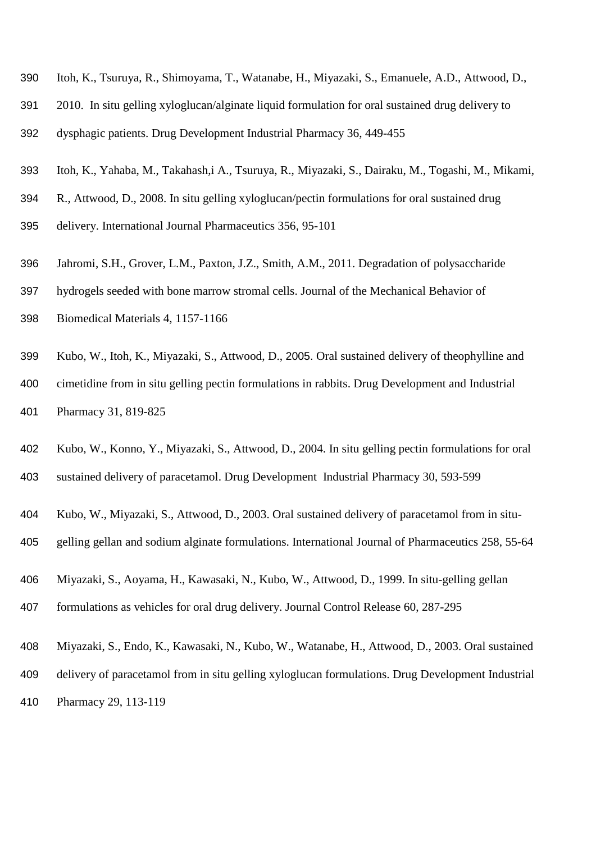- Itoh, K., Tsuruya, R., Shimoyama, T., Watanabe, H., Miyazaki, S., Emanuele, A.D., Attwood, D.,
- 2010. In situ gelling xyloglucan/alginate liquid formulation for oral sustained drug delivery to
- dysphagic patients. Drug Development Industrial Pharmacy 36, 449-455
- Itoh, K., Yahaba, M., Takahash,i A., Tsuruya, R., Miyazaki, S., Dairaku, M., Togashi, M., Mikami,
- R., Attwood, D., 2008. In situ gelling xyloglucan/pectin formulations for oral sustained drug
- delivery. International Journal Pharmaceutics 356, 95-101
- Jahromi, S.H., Grover, L.M., Paxton, J.Z., Smith, A.M., 2011. Degradation of polysaccharide
- hydrogels seeded with bone marrow stromal cells. Journal of the Mechanical Behavior of
- Biomedical Materials 4, 1157-1166
- Kubo, W., Itoh, K., Miyazaki, S., Attwood, D., 2005. Oral sustained delivery of theophylline and cimetidine from in situ gelling pectin formulations in rabbits. Drug Development and Industrial Pharmacy 31, 819-825
- Kubo, W., Konno, Y., Miyazaki, S., Attwood, D., 2004. In situ gelling pectin formulations for oral sustained delivery of paracetamol. Drug Development Industrial Pharmacy 30, 593-599
- Kubo, W., Miyazaki, S., Attwood, D., 2003. Oral sustained delivery of paracetamol from in situ-
- gelling gellan and sodium alginate formulations. International Journal of Pharmaceutics 258, 55-64
- Miyazaki, S., Aoyama, H., Kawasaki, N., Kubo, W., Attwood, D., 1999. In situ-gelling gellan
- formulations as vehicles for oral drug delivery. Journal Control Release 60, 287-295
- Miyazaki, S., Endo, K., Kawasaki, N., Kubo, W., Watanabe, H., Attwood, D., 2003. Oral sustained
- delivery of paracetamol from in situ gelling xyloglucan formulations. Drug Development Industrial
- Pharmacy 29, 113-119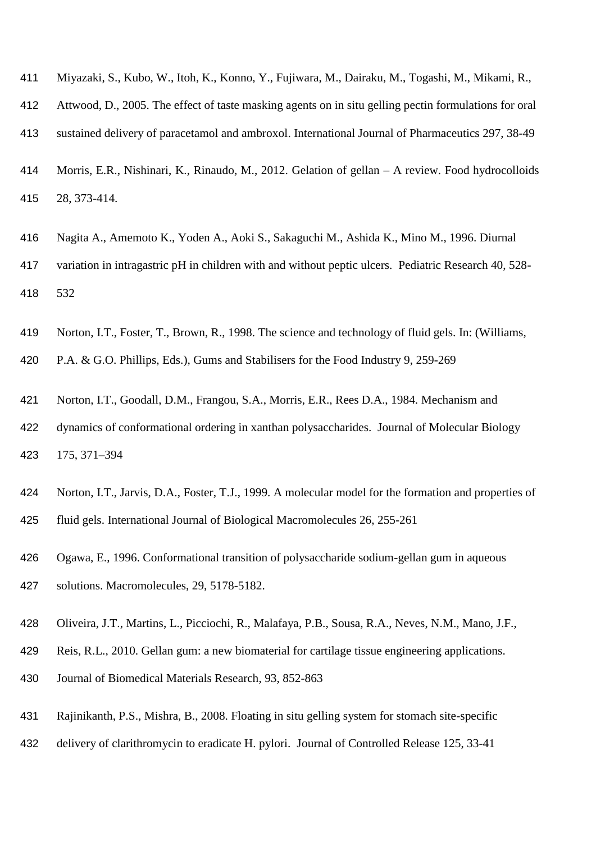- Miyazaki, S., Kubo, W., Itoh, K., Konno, Y., Fujiwara, M., Dairaku, M., Togashi, M., Mikami, R.,
- Attwood, D., 2005. The effect of taste masking agents on in situ gelling pectin formulations for oral
- sustained delivery of paracetamol and ambroxol. International Journal of Pharmaceutics 297, 38-49
- Morris, E.R., Nishinari, K., Rinaudo, M., 2012. Gelation of gellan A review. Food hydrocolloids 28, 373-414.
- Nagita A., Amemoto K., Yoden A., Aoki S., Sakaguchi M., Ashida K., Mino M., 1996. Diurnal variation in intragastric pH in children with and without peptic ulcers. Pediatric Research 40, 528- 532
- Norton, I.T., Foster, T., Brown, R., 1998. The science and technology of fluid gels. In: (Williams,
- P.A. & G.O. Phillips, Eds.), Gums and Stabilisers for the Food Industry 9, 259-269
- Norton, I.T., Goodall, D.M., Frangou, S.A., Morris, E.R., Rees D.A., 1984. Mechanism and
- dynamics of conformational ordering in xanthan polysaccharides. Journal of Molecular Biology 175, 371–394
- Norton, I.T., Jarvis, D.A., Foster, T.J., 1999. A molecular model for the formation and properties of
- fluid gels. International Journal of Biological Macromolecules 26, 255-261
- Ogawa, E., 1996. Conformational transition of polysaccharide sodium-gellan gum in aqueous
- solutions. Macromolecules, 29, 5178-5182.
- Oliveira, J.T., Martins, L., Picciochi, R., Malafaya, P.B., Sousa, R.A., Neves, N.M., Mano, J.F.,
- Reis, R.L., 2010. Gellan gum: a new biomaterial for cartilage tissue engineering applications.
- Journal of Biomedical Materials Research, 93, 852-863
- Rajinikanth, P.S., Mishra, B., 2008. Floating in situ gelling system for stomach site-specific
- delivery of clarithromycin to eradicate H. pylori. Journal of Controlled Release 125, 33-41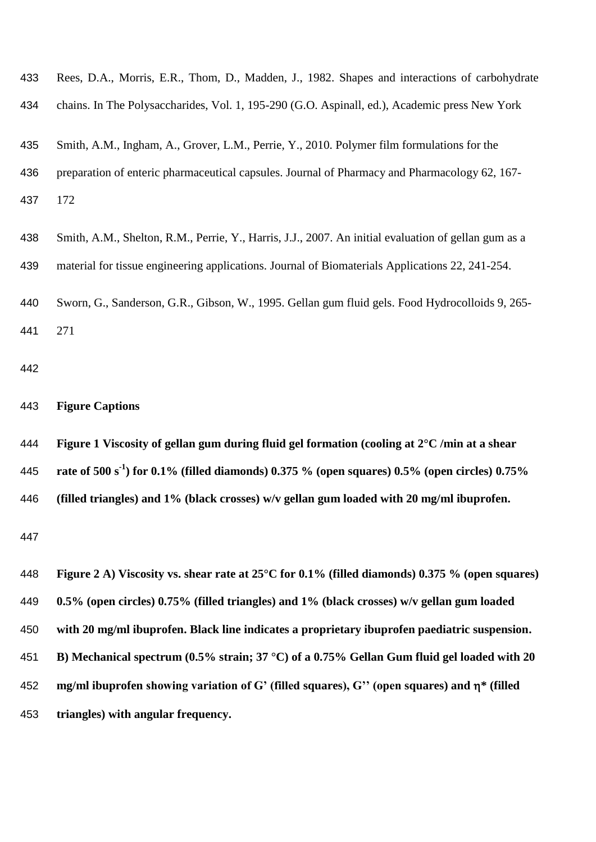| 433 | Rees, D.A., Morris, E.R., Thom, D., Madden, J., 1982. Shapes and interactions of carbohydrate        |
|-----|------------------------------------------------------------------------------------------------------|
| 434 | chains. In The Polysaccharides, Vol. 1, 195-290 (G.O. Aspinall, ed.), Academic press New York        |
| 435 | Smith, A.M., Ingham, A., Grover, L.M., Perrie, Y., 2010. Polymer film formulations for the           |
| 436 | preparation of enteric pharmaceutical capsules. Journal of Pharmacy and Pharmacology 62, 167-        |
| 437 | 172                                                                                                  |
| 438 | Smith, A.M., Shelton, R.M., Perrie, Y., Harris, J.J., 2007. An initial evaluation of gellan gum as a |
| 439 | material for tissue engineering applications. Journal of Biomaterials Applications 22, 241-254.      |
| 440 | Sworn, G., Sanderson, G.R., Gibson, W., 1995. Gellan gum fluid gels. Food Hydrocolloids 9, 265-      |
| 441 | 271                                                                                                  |
| 442 |                                                                                                      |

## **Figure Captions**

 **Figure 1 Viscosity of gellan gum during fluid gel formation (cooling at 2°C /min at a shear rate of 500 s-1 ) for 0.1% (filled diamonds) 0.375 % (open squares) 0.5% (open circles) 0.75% (filled triangles) and 1% (black crosses) w/v gellan gum loaded with 20 mg/ml ibuprofen.**

 **Figure 2 A) Viscosity vs. shear rate at 25°C for 0.1% (filled diamonds) 0.375 % (open squares) 0.5% (open circles) 0.75% (filled triangles) and 1% (black crosses) w/v gellan gum loaded with 20 mg/ml ibuprofen. Black line indicates a proprietary ibuprofen paediatric suspension. B) Mechanical spectrum (0.5% strain; 37 °C) of a 0.75% Gellan Gum fluid gel loaded with 20 mg/ml ibuprofen showing variation of G' (filled squares), G'' (open squares) and \* (filled triangles) with angular frequency.**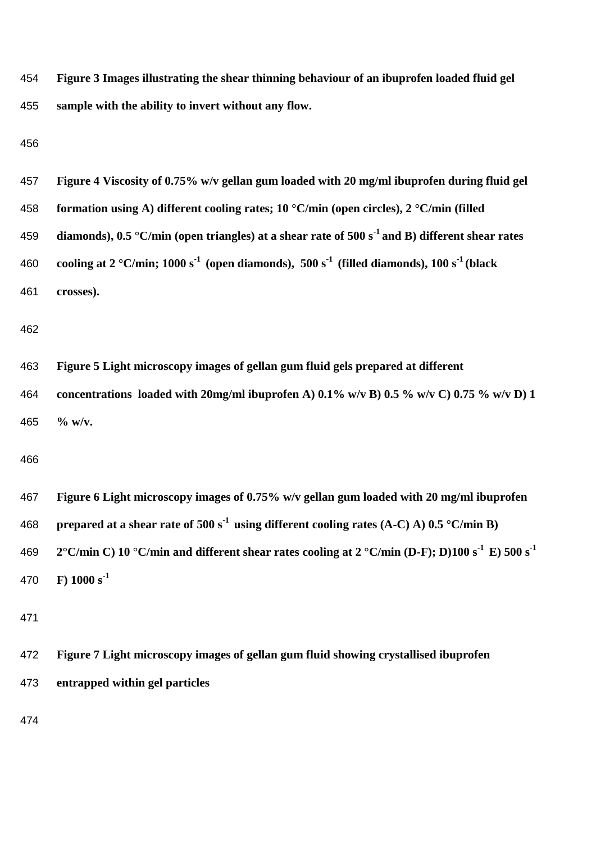**Figure 3 Images illustrating the shear thinning behaviour of an ibuprofen loaded fluid gel sample with the ability to invert without any flow.**

 **Figure 4 Viscosity of 0.75% w/v gellan gum loaded with 20 mg/ml ibuprofen during fluid gel formation using A) different cooling rates; 10 °C/min (open circles), 2 °C/min (filled diamonds), 0.5 °C/min (open triangles) at a shear rate of 500 s-1 and B) different shear rates cooling at 2 °C/min; 1000 s<sup>-1</sup> (open diamonds), 500 s<sup>-1</sup> (filled diamonds), 100 s<sup>-1</sup> (black** 

**crosses).**

**Figure 5 Light microscopy images of gellan gum fluid gels prepared at different** 

 **concentrations loaded with 20mg/ml ibuprofen A) 0.1% w/v B) 0.5 % w/v C) 0.75 % w/v D) 1 % w/v.** 

- **Figure 6 Light microscopy images of 0.75% w/v gellan gum loaded with 20 mg/ml ibuprofen prepared at a shear rate of 500 s-1 using different cooling rates (A-C) A) 0.5 °C/min B) 2°C/min C) 10 °C/min and different shear rates cooling at 2 °C/min (D-F); D)100 s-1 E) 500 s-1 F) 1000 s-1**
- 

 **Figure 7 Light microscopy images of gellan gum fluid showing crystallised ibuprofen entrapped within gel particles**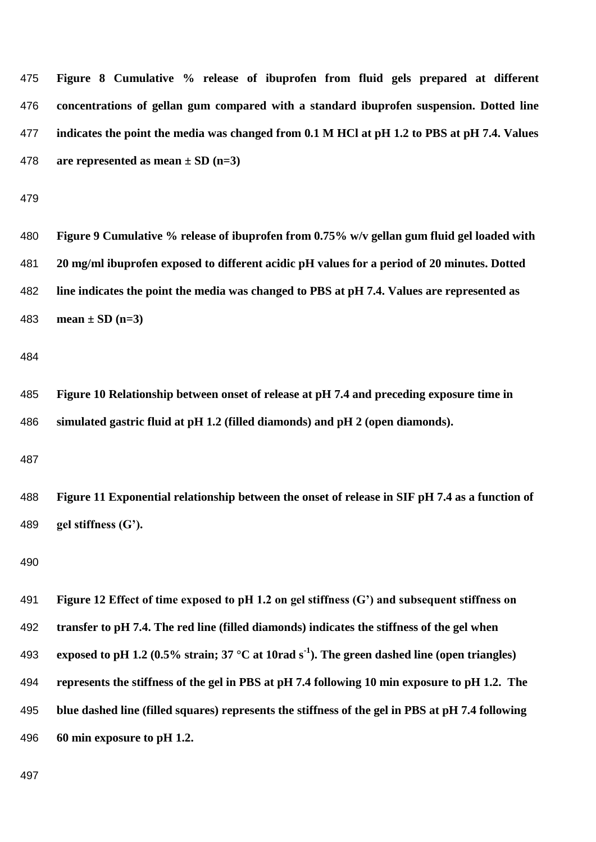**Figure 8 Cumulative % release of ibuprofen from fluid gels prepared at different concentrations of gellan gum compared with a standard ibuprofen suspension. Dotted line indicates the point the media was changed from 0.1 M HCl at pH 1.2 to PBS at pH 7.4. Values are represented as mean ± SD (n=3)**

 **Figure 9 Cumulative % release of ibuprofen from 0.75% w/v gellan gum fluid gel loaded with 20 mg/ml ibuprofen exposed to different acidic pH values for a period of 20 minutes. Dotted line indicates the point the media was changed to PBS at pH 7.4. Values are represented as mean ± SD (n=3)**

 **Figure 10 Relationship between onset of release at pH 7.4 and preceding exposure time in simulated gastric fluid at pH 1.2 (filled diamonds) and pH 2 (open diamonds).**

 **Figure 11 Exponential relationship between the onset of release in SIF pH 7.4 as a function of gel stiffness (G').**

 **Figure 12 Effect of time exposed to pH 1.2 on gel stiffness (G') and subsequent stiffness on transfer to pH 7.4. The red line (filled diamonds) indicates the stiffness of the gel when exposed to pH 1.2 (0.5% strain; 37 °C at 10rad s-1 ). The green dashed line (open triangles) represents the stiffness of the gel in PBS at pH 7.4 following 10 min exposure to pH 1.2. The blue dashed line (filled squares) represents the stiffness of the gel in PBS at pH 7.4 following 60 min exposure to pH 1.2.**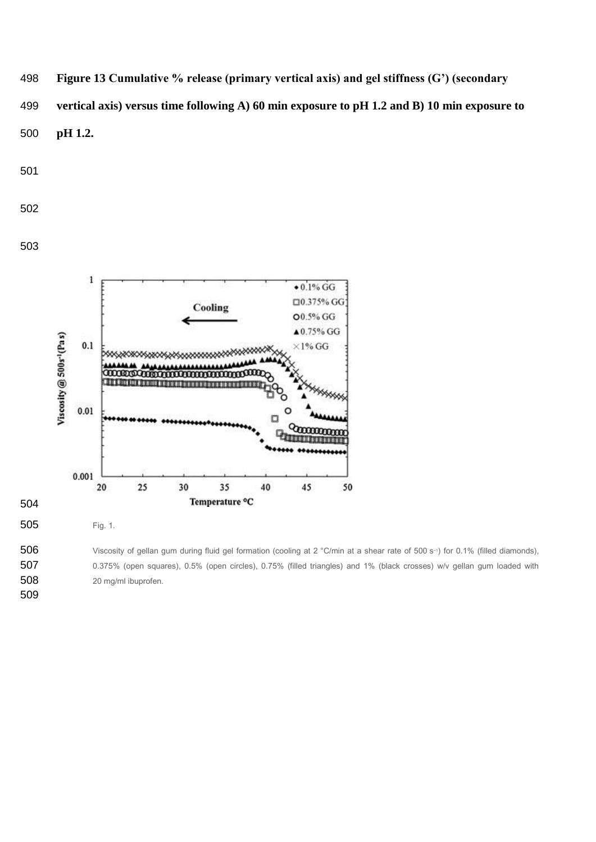- **Figure 13 Cumulative % release (primary vertical axis) and gel stiffness (G') (secondary**
- **vertical axis) versus time following A) 60 min exposure to pH 1.2 and B) 10 min exposure to**
- **pH 1.2.**
- 
- 
- 



Fig. 1.

506 Viscosity of gellan gum during fluid gel formation (cooling at 2 °C/min at a shear rate of 500 s-1) for 0.1% (filled diamonds), 0.375% (open squares), 0.5% (open circles), 0.75% (filled triangles) and 1% (black crosses) w/v gellan gum loaded with 20 mg/ml ibuprofen.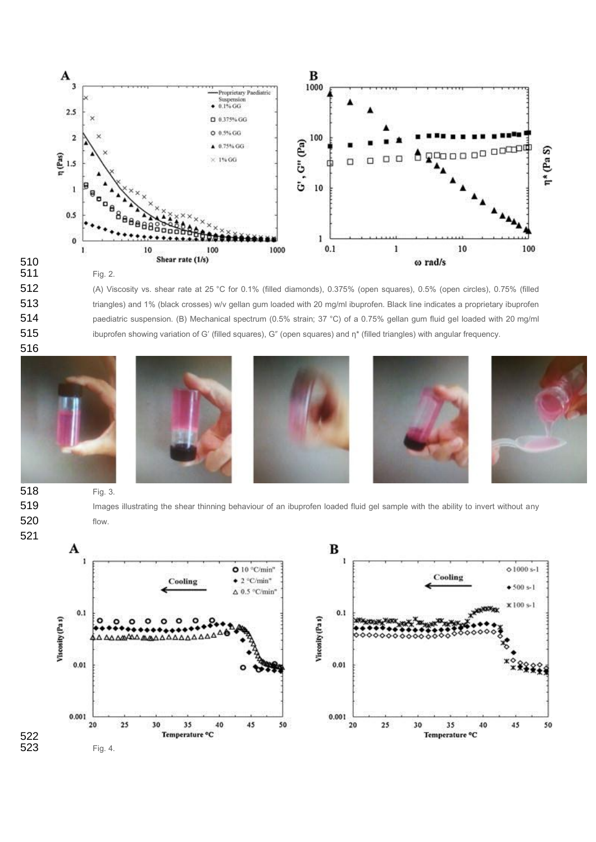



 (A) Viscosity vs. shear rate at 25 °C for 0.1% (filled diamonds), 0.375% (open squares), 0.5% (open circles), 0.75% (filled 513 triangles) and 1% (black crosses) w/v gellan gum loaded with 20 mg/ml ibuprofen. Black line indicates a proprietary ibuprofen paediatric suspension. (B) Mechanical spectrum (0.5% strain; 37 °C) of a 0.75% gellan gum fluid gel loaded with 20 mg/ml 515 ibuprofen showing variation of G' (filled squares), G" (open squares) and  $\eta^*$  (filled triangles) with angular frequency.









519 Images illustrating the shear thinning behaviour of an ibuprofen loaded fluid gel sample with the ability to invert without any flow.

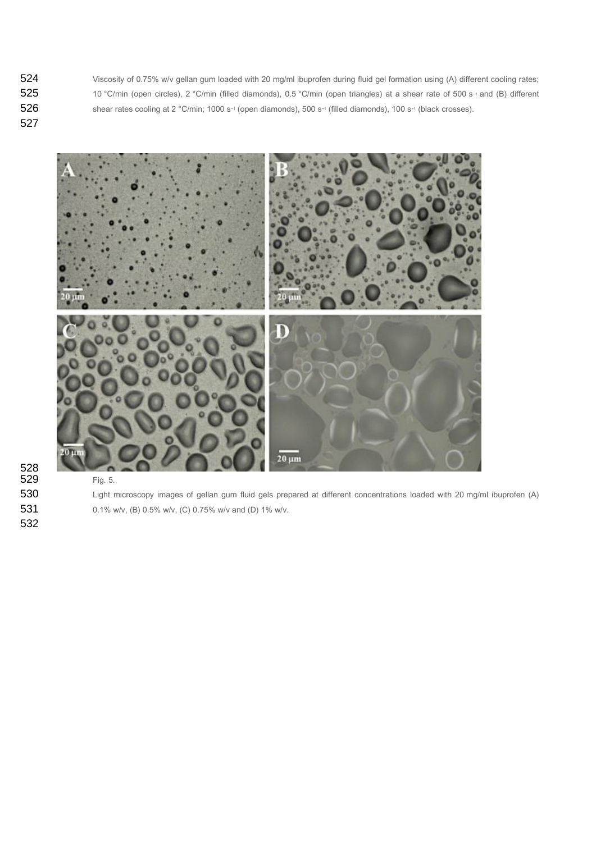524 Viscosity of 0.75% w/v gellan gum loaded with 20 mg/ml ibuprofen during fluid gel formation using (A) different cooling rates; 525 10 °C/min (open circles), 2 °C/min (filled diamonds), 0.5 °C/min (open triangles) at a shear rate of 500 s-1 and (B) different 526 shear rates cooling at 2 °C/min; 1000 s-1 (open diamonds), 500 s-1 (filled diamonds), 100 s-1 (black crosses).

527



528<br>529

530 Light microscopy images of gellan gum fluid gels prepared at different concentrations loaded with 20 mg/ml ibuprofen (A) 531 0.1% w/v, (B) 0.5% w/v, (C) 0.75% w/v and (D) 1% w/v.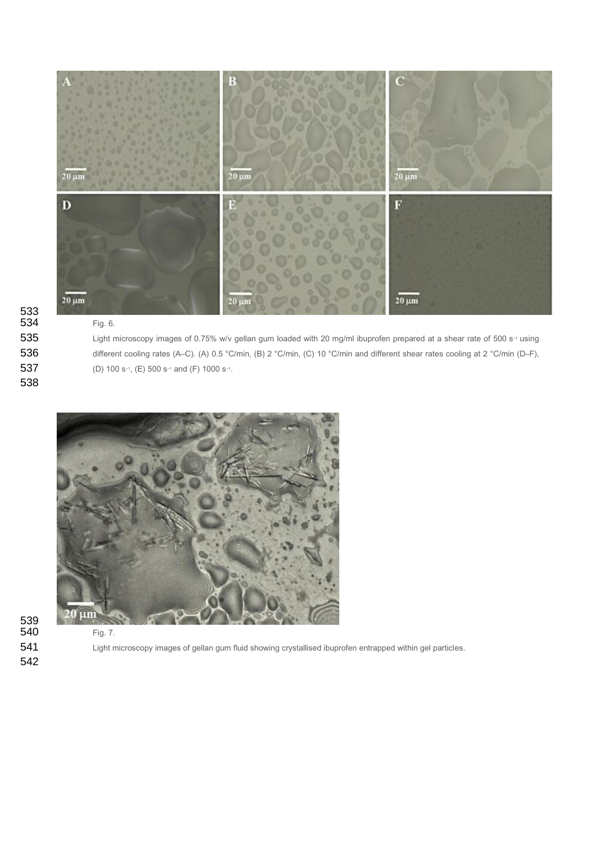

| 533<br>534 |  |
|------------|--|
| 535        |  |
| 536        |  |
| 537        |  |

| 535 | Light microscopy images of 0.75% w/v gellan gum loaded with 20 mg/ml ibuprofen prepared at a shear rate of 500 s-1 using        |
|-----|---------------------------------------------------------------------------------------------------------------------------------|
| 536 | different cooling rates (A–C). (A) 0.5 °C/min, (B) 2 °C/min, (C) 10 °C/min and different shear rates cooling at 2 °C/min (D–F), |
| 537 | (D) 100 s <sup>-1</sup> , (E) 500 s <sup>-1</sup> and (F) 1000 s <sup>-1</sup> .                                                |



Fig. 7.

Light microscopy images of gellan gum fluid showing crystallised ibuprofen entrapped within gel particles.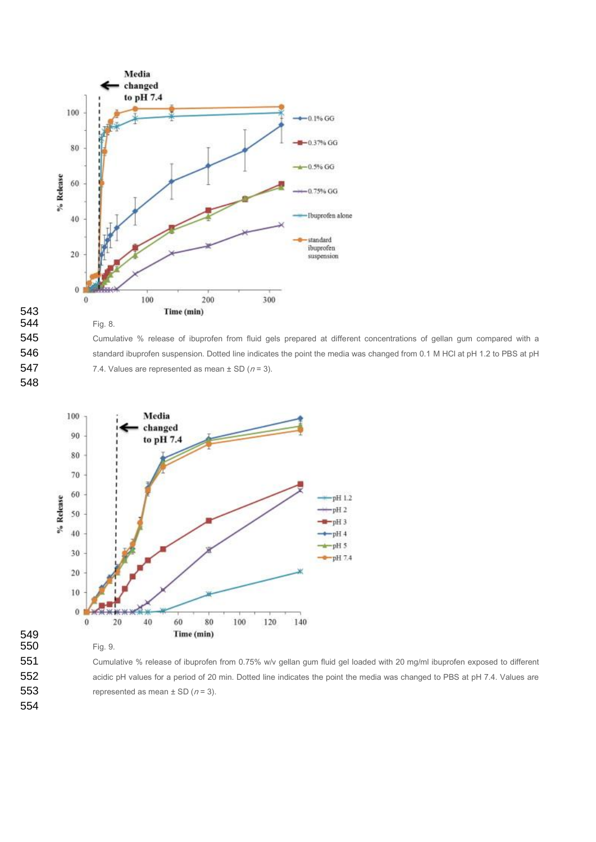

545 Cumulative % release of ibuprofen from fluid gels prepared at different concentrations of gellan gum compared with a 546 standard ibuprofen suspension. Dotted line indicates the point the media was changed from 0.1 M HCl at pH 1.2 to PBS at pH 547 7.4. Values are represented as mean  $\pm$  SD ( $n = 3$ ). 548



549<br>550

551 Cumulative % release of ibuprofen from 0.75% w/v gellan gum fluid gel loaded with 20 mg/ml ibuprofen exposed to different 552 acidic pH values for a period of 20 min. Dotted line indicates the point the media was changed to PBS at pH 7.4. Values are 553 represented as mean  $\pm$  SD ( $n = 3$ ).

554

543<br>544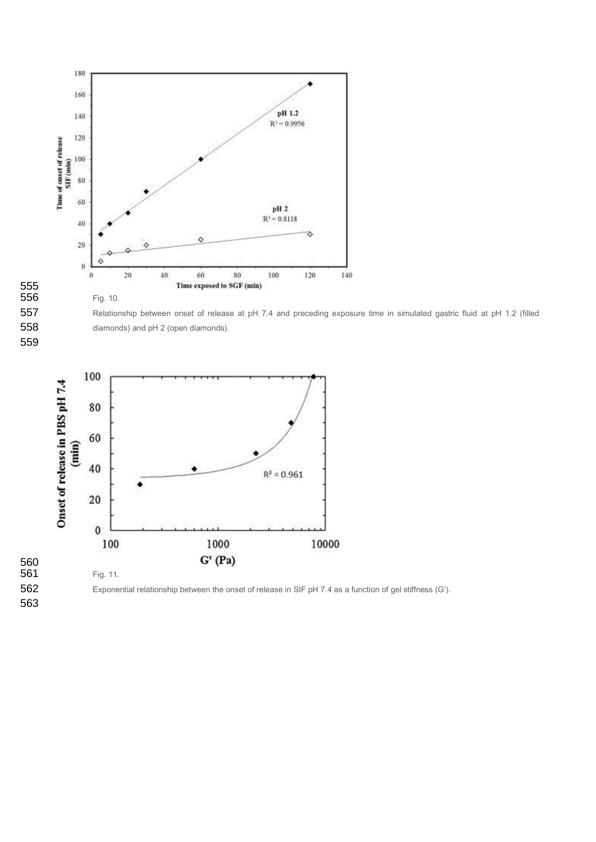

557 Relationship between onset of release at pH 7.4 and preceding exposure time in simulated gastric fluid at pH 1.2 (filled

558 diamonds) and pH 2 (open diamonds).





Exponential relationship between the onset of release in SIF pH 7.4 as a function of gel stiffness (G′).